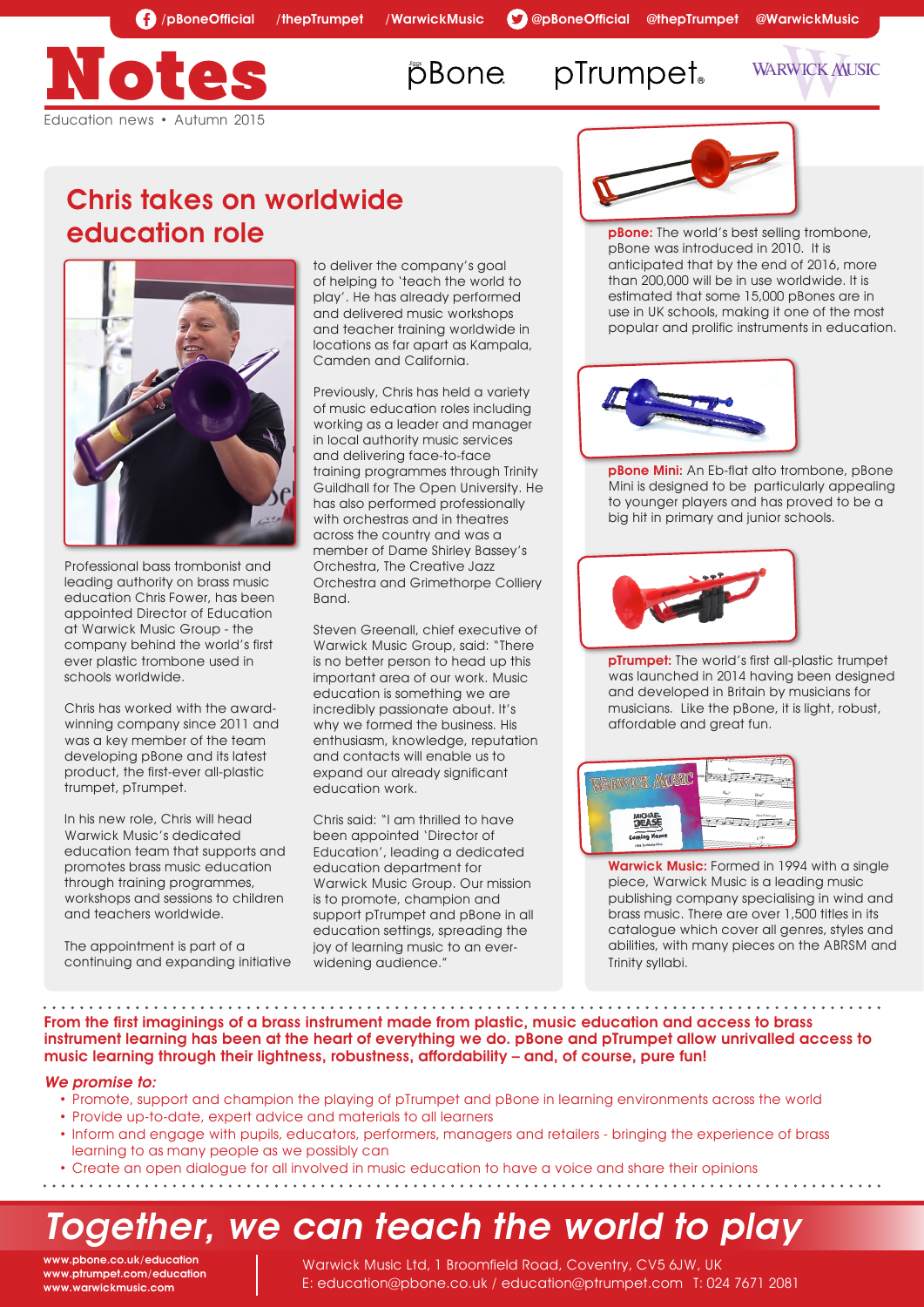# **pBone**

pTrumpet<sub>®</sub>

**WARWICK MUSIC** 



### Chris takes on worldwide education role



Professional bass trombonist and leading authority on brass music education Chris Fower, has been appointed Director of Education at Warwick Music Group - the company behind the world's first ever plastic trombone used in schools worldwide.

Chris has worked with the awardwinning company since 2011 and was a key member of the team developing pBone and its latest product, the first-ever all-plastic trumpet, pTrumpet.

In his new role, Chris will head Warwick Music's dedicated education team that supports and promotes brass music education through training programmes, workshops and sessions to children and teachers worldwide.

The appointment is part of a continuing and expanding initiative to deliver the company's goal of helping to 'teach the world to play'. He has already performed and delivered music workshops and teacher training worldwide in locations as far apart as Kampala, Camden and California.

Previously, Chris has held a variety of music education roles including working as a leader and manager in local authority music services and delivering face-to-face training programmes through Trinity Guildhall for The Open University. He has also performed professionally with orchestras and in theatres across the country and was a member of Dame Shirley Bassey's Orchestra, The Creative Jazz Orchestra and Grimethorpe Colliery Band.

Steven Greenall, chief executive of Warwick Music Group, said: "There is no better person to head up this important area of our work. Music education is something we are incredibly passionate about. It's why we formed the business. His enthusiasm, knowledge, reputation and contacts will enable us to expand our already significant education work.

Chris said: "I am thrilled to have been appointed 'Director of Education', leading a dedicated education department for Warwick Music Group. Our mission is to promote, champion and support pTrumpet and pBone in all education settings, spreading the joy of learning music to an everwidening audience."



**pBone:** The world's best selling trombone, pBone was introduced in 2010. It is anticipated that by the end of 2016, more than 200,000 will be in use worldwide. It is estimated that some 15,000 pBones are in use in UK schools, making it one of the most popular and prolific instruments in education.



**pBone Mini:** An Eb-flat alto trombone, pBone Mini is designed to be particularly appealing to younger players and has proved to be a big hit in primary and junior schools.



pTrumpet: The world's first all-plastic trumpet was launched in 2014 having been designed and developed in Britain by musicians for musicians. Like the pBone, it is light, robust, affordable and great fun.



Warwick Music: Formed in 1994 with a single piece, Warwick Music is a leading music publishing company specialising in wind and brass music. There are over 1,500 titles in its catalogue which cover all genres, styles and abilities, with many pieces on the ABRSM and Trinity syllabi.  $\frac{1}{2}$ 

 $\bullet$ н, л. From the first imaginings of a brass instrument made from plastic, music education and access to brass instrument learning has been at the heart of everything we do. pBone and pTrumpet allow unrivalled access to music learning through their lightness, robustness, affordability – and, of course, pure fun!

#### We promise to:

- Promote, support and champion the playing of pTrumpet and pBone in learning environments across the world
- Provide up-to-date, expert advice and materials to all learners
- Inform and engage with pupils, educators, performers, managers and retailers bringing the experience of brass learning to as many people as we possibly can
- Create an open dialogue for all involved in music education to have a voice and share their opinions
- 

# Together, we can teach the world to play

www.pbone.co.uk/education www.ptrumpet.com/education www.warwickmusic.com

Warwick Music Ltd, 1 Broomfield Road, Coventry, CV5 6JW, UK E: education@pbone.co.uk / education@ptrumpet.com T: 024 7671 2081